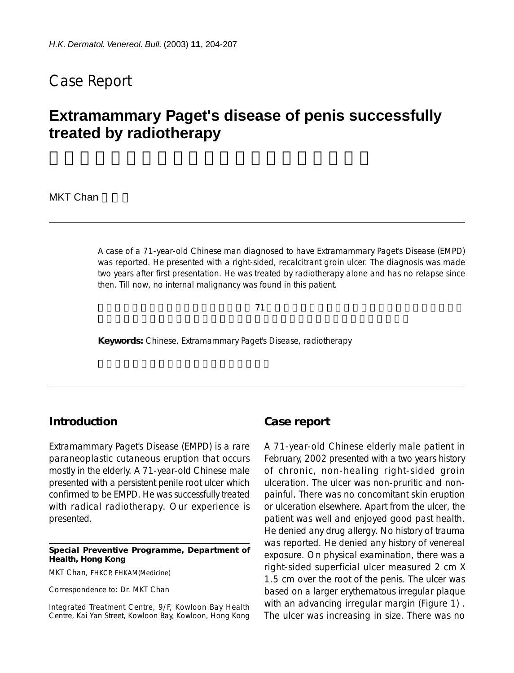## Case Report

# **Extramammary Paget's disease of penis successfully treated by radiotherapy**

### MKT Chan

A case of a 71-year-old Chinese man diagnosed to have Extramammary Paget's Disease (EMPD) was reported. He presented with a right-sided, recalcitrant groin ulcer. The diagnosis was made two years after first presentation. He was treated by radiotherapy alone and has no relapse since then. Till now, no internal malignancy was found in this patient.

 $71$ 

**Keywords:** Chinese, Extramammary Paget's Disease, radiotherapy

## **Introduction**

Extramammary Paget's Disease (EMPD) is a rare paraneoplastic cutaneous eruption that occurs mostly in the elderly. A 71-year-old Chinese male presented with a persistent penile root ulcer which confirmed to be EMPD. He was successfully treated with radical radiotherapy. Our experience is presented.

#### **Special Preventive Programme, Department of Health, Hong Kong**

MKT Chan, FHKCP, FHKAM(Medicine)

Correspondence to: Dr. MKT Chan

Integrated Treatment Centre, 9/F, Kowloon Bay Health Centre, Kai Yan Street, Kowloon Bay, Kowloon, Hong Kong

## **Case report**

A 71-year-old Chinese elderly male patient in February, 2002 presented with a two years history of chronic, non-healing right-sided groin ulceration. The ulcer was non-pruritic and nonpainful. There was no concomitant skin eruption or ulceration elsewhere. Apart from the ulcer, the patient was well and enjoyed good past health. He denied any drug allergy. No history of trauma was reported. He denied any history of venereal exposure. On physical examination, there was a right-sided superficial ulcer measured 2 cm X 1.5 cm over the root of the penis. The ulcer was based on a larger erythematous irregular plaque with an advancing irregular margin (Figure 1). The ulcer was increasing in size. There was no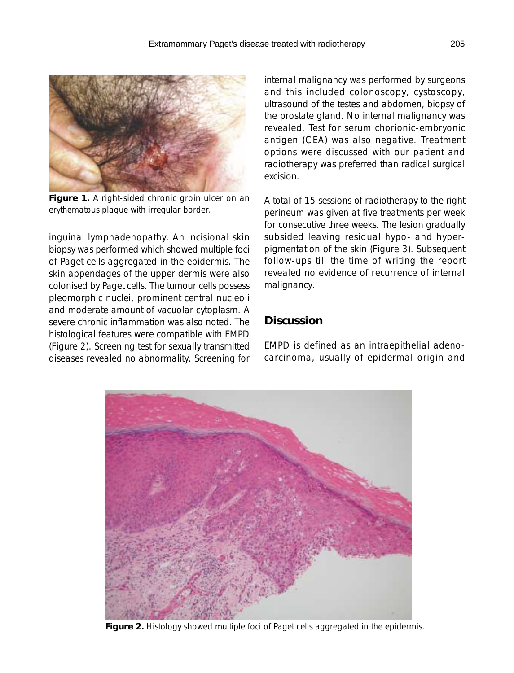

**Figure 1.** A right-sided chronic groin ulcer on an erythematous plaque with irregular border.

inguinal lymphadenopathy. An incisional skin biopsy was performed which showed multiple foci of Paget cells aggregated in the epidermis. The skin appendages of the upper dermis were also colonised by Paget cells. The tumour cells possess pleomorphic nuclei, prominent central nucleoli and moderate amount of vacuolar cytoplasm. A severe chronic inflammation was also noted. The histological features were compatible with EMPD (Figure 2). Screening test for sexually transmitted diseases revealed no abnormality. Screening for internal malignancy was performed by surgeons and this included colonoscopy, cystoscopy, ultrasound of the testes and abdomen, biopsy of the prostate gland. No internal malignancy was revealed. Test for serum chorionic-embryonic antigen (CEA) was also negative. Treatment options were discussed with our patient and radiotherapy was preferred than radical surgical excision.

A total of 15 sessions of radiotherapy to the right perineum was given at five treatments per week for consecutive three weeks. The lesion gradually subsided leaving residual hypo- and hyperpigmentation of the skin (Figure 3). Subsequent follow-ups till the time of writing the report revealed no evidence of recurrence of internal malignancy.

## **Discussion**

EMPD is defined as an intraepithelial adenocarcinoma, usually of epidermal origin and



**Figure 2.** Histology showed multiple foci of Paget cells aggregated in the epidermis.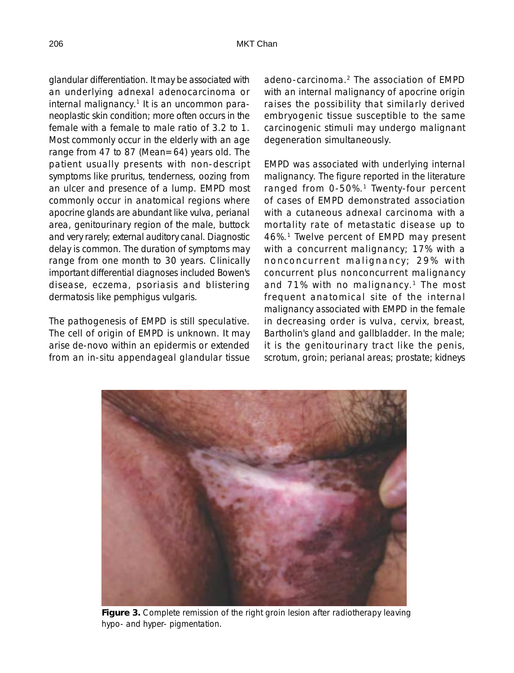glandular differentiation. It may be associated with an underlying adnexal adenocarcinoma or internal malignancy.<sup>1</sup> It is an uncommon paraneoplastic skin condition; more often occurs in the female with a female to male ratio of 3.2 to 1. Most commonly occur in the elderly with an age range from 47 to 87 (Mean=64) years old. The patient usually presents with non-descript symptoms like pruritus, tenderness, oozing from an ulcer and presence of a lump. EMPD most commonly occur in anatomical regions where apocrine glands are abundant like vulva, perianal area, genitourinary region of the male, buttock and very rarely; external auditory canal. Diagnostic delay is common. The duration of symptoms may range from one month to 30 years. Clinically important differential diagnoses included Bowen's disease, eczema, psoriasis and blistering dermatosis like pemphigus vulgaris.

The pathogenesis of EMPD is still speculative. The cell of origin of EMPD is unknown. It may arise de-novo within an epidermis or extended from an in-situ appendageal glandular tissue

adeno-carcinoma.2 The association of EMPD with an internal malignancy of apocrine origin raises the possibility that similarly derived embryogenic tissue susceptible to the same carcinogenic stimuli may undergo malignant degeneration simultaneously.

EMPD was associated with underlying internal malignancy. The figure reported in the literature ranged from 0-50%.<sup>1</sup> Twenty-four percent of cases of EMPD demonstrated association with a cutaneous adnexal carcinoma with a mortality rate of metastatic disease up to 46%.1 Twelve percent of EMPD may present with a concurrent malignancy; 17% with a nonconcurrent malignancy; 29% with concurrent plus nonconcurrent malignancy and  $71\%$  with no malignancy.<sup>1</sup> The most frequent anatomical site of the internal malignancy associated with EMPD in the female in decreasing order is vulva, cervix, breast, Bartholin's gland and gallbladder. In the male; it is the genitourinary tract like the penis, scrotum, groin; perianal areas; prostate; kidneys



**Figure 3.** Complete remission of the right groin lesion after radiotherapy leaving hypo- and hyper- pigmentation.